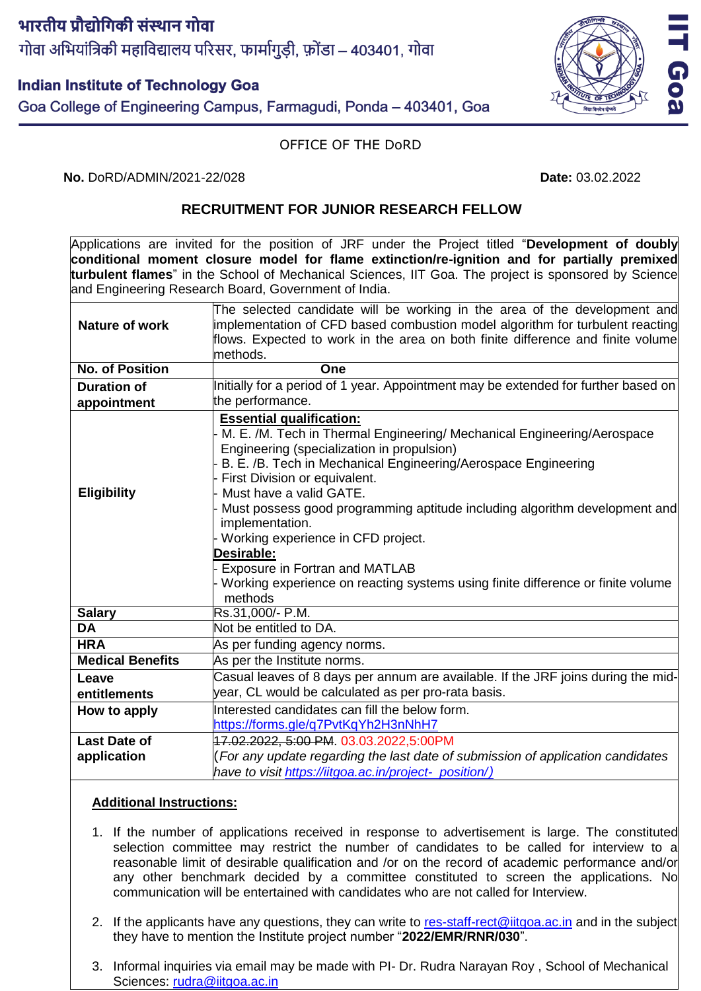# भारतीय प्रौद्योगिकी संस्थान गोवा गोवा अभियांत्रिकी महाविद्यालय परिसर, फार्मागुडी, फ़ोंडा – 403401, गोवा

# **Indian Institute of Technology Goa**

Goa College of Engineering Campus, Farmagudi, Ponda – 403401, Goa

#### OFFICE OF THE DoRD

**No.** DoRD/ADMIN/2021-22/028 **Date:** 03.02.2022

## **RECRUITMENT FOR JUNIOR RESEARCH FELLOW**

Applications are invited for the position of JRF under the Project titled "**Development of doubly conditional moment closure model for flame extinction/re-ignition and for partially premixed turbulent flames**" in the School of Mechanical Sciences, IIT Goa. The project is sponsored by Science and Engineering Research Board, Government of India.

|                         | The selected candidate will be working in the area of the development and          |
|-------------------------|------------------------------------------------------------------------------------|
| <b>Nature of work</b>   | implementation of CFD based combustion model algorithm for turbulent reacting      |
|                         | flows. Expected to work in the area on both finite difference and finite volume    |
|                         | methods.                                                                           |
| <b>No. of Position</b>  | One                                                                                |
| <b>Duration of</b>      | Initially for a period of 1 year. Appointment may be extended for further based on |
| appointment             | the performance.                                                                   |
|                         | <b>Essential qualification:</b>                                                    |
|                         | M. E. /M. Tech in Thermal Engineering/ Mechanical Engineering/Aerospace            |
|                         | Engineering (specialization in propulsion)                                         |
|                         | B. E. /B. Tech in Mechanical Engineering/Aerospace Engineering                     |
|                         | First Division or equivalent.                                                      |
| <b>Eligibility</b>      | Must have a valid GATE.                                                            |
|                         | Must possess good programming aptitude including algorithm development and         |
|                         | implementation.                                                                    |
|                         | Working experience in CFD project.<br>Desirable:                                   |
|                         | Exposure in Fortran and MATLAB                                                     |
|                         | Working experience on reacting systems using finite difference or finite volume    |
|                         | methods                                                                            |
| <b>Salary</b>           | Rs.31,000/- P.M.                                                                   |
| <b>DA</b>               | Not be entitled to DA.                                                             |
| <b>HRA</b>              | As per funding agency norms.                                                       |
| <b>Medical Benefits</b> | As per the Institute norms.                                                        |
| Leave                   | Casual leaves of 8 days per annum are available. If the JRF joins during the mid-  |
| entitlements            | year, CL would be calculated as per pro-rata basis.                                |
| How to apply            | Interested candidates can fill the below form.                                     |
|                         | https://forms.gle/q7PvtKqYh2H3nNhH7                                                |
| <b>Last Date of</b>     | 17.02.2022, 5:00 PM. 03.03.2022,5:00PM                                             |
| application             | (For any update regarding the last date of submission of application candidates    |
|                         | have to visit https://iitgoa.ac.in/project- position/)                             |

## **Additional Instructions:**

- 1. If the number of applications received in response to advertisement is large. The constituted selection committee may restrict the number of candidates to be called for interview to a reasonable limit of desirable qualification and /or on the record of academic performance and/or any other benchmark decided by a committee constituted to screen the applications. No communication will be entertained with candidates who are not called for Interview.
- 2. If the applicants have any questions, they can write to [res-staff-rect@iitgoa.ac.in](mailto:res-staff-rect@iitgoa.ac.in) and in the subject they have to mention the Institute project number "**2022/EMR/RNR/030**".
- 3. Informal inquiries via email may be made with PI- Dr. Rudra Narayan Roy , School of Mechanical Sciences: [rudra@iitgoa.ac.in](mailto:rudra@iitgoa.ac.in)